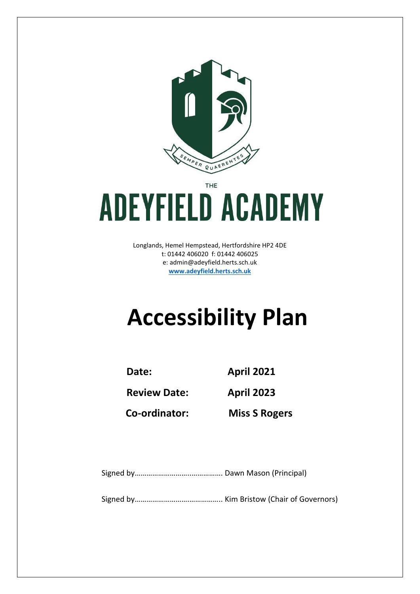

THE

## **ADEYFIELD ACADEMY**

Longlands, Hemel Hempstead, Hertfordshire HP2 4DE t: 01442 406020 f: 01442 406025 e: [admin@adeyfield.herts.sch.uk](mailto:admin@adeyfield.herts.sch.uk) **[www.adeyfield.herts.sch.uk](http://www.adeyfield.herts.sch.uk/)**

## **Accessibility Plan**

**Date: April 2021**

**Review Date: April 2023**

**Co-ordinator: Miss S Rogers**

Signed by………………………..……………. Dawn Mason (Principal)

Signed by……………………….…………….. Kim Bristow (Chair of Governors)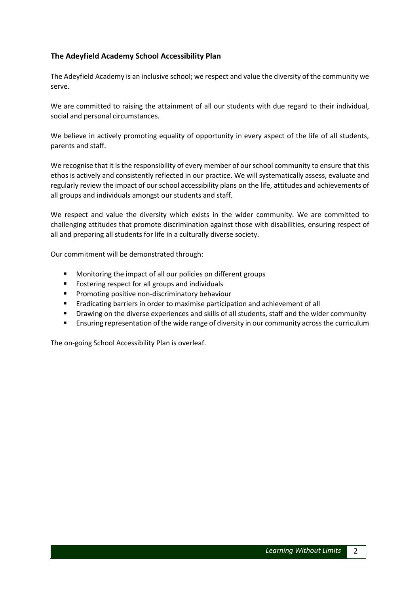## **The Adeyfield Academy School Accessibility Plan**

The Adeyfield Academy is an inclusive school; we respect and value the diversity of the community we serve.

We are committed to raising the attainment of all our students with due regard to their individual, social and personal circumstances.

We believe in actively promoting equality of opportunity in every aspect of the life of all students, parents and staff.

We recognise that it is the responsibility of every member of our school community to ensure that this ethos is actively and consistently reflected in our practice. We will systematically assess, evaluate and regularly review the impact of our school accessibility plans on the life, attitudes and achievements of all groups and individuals amongst our students and staff.

We respect and value the diversity which exists in the wider community. We are committed to challenging attitudes that promote discrimination against those with disabilities, ensuring respect of all and preparing all students for life in a culturally diverse society.

Our commitment will be demonstrated through:

- **Monitoring the impact of all our policies on different groups**
- **FICE ASSEM** Fostering respect for all groups and individuals
- **Promoting positive non-discriminatory behaviour**
- **Example 2** Eradicating barriers in order to maximise participation and achievement of all
- **•** Drawing on the diverse experiences and skills of all students, staff and the wider community
- **EXECT FIGHT FIGHTS IS ENSTANDER THE CONTEX FIGHTS IS CONTEX FIGHTS IS CONTEX FIGHTS IS CONTEX FIGHTS IS CONTEX**

The on-going School Accessibility Plan is overleaf.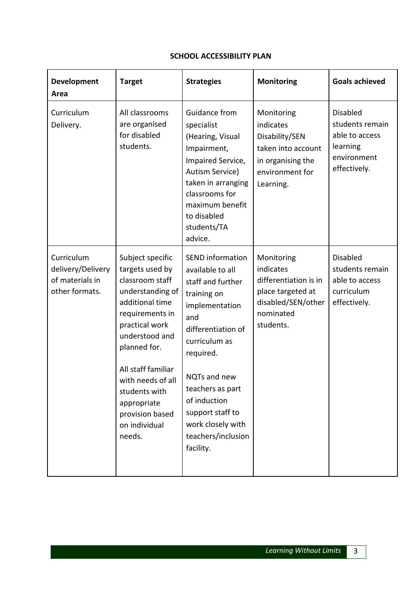## **SCHOOL ACCESSIBILITY PLAN**

| <b>Development</b><br>Area                                           | <b>Target</b>                                                                                                                                                                                                                                                                                 | <b>Strategies</b>                                                                                                                                                                                                                                                                            | <b>Monitoring</b>                                                                                                     | <b>Goals achieved</b>                                                                           |
|----------------------------------------------------------------------|-----------------------------------------------------------------------------------------------------------------------------------------------------------------------------------------------------------------------------------------------------------------------------------------------|----------------------------------------------------------------------------------------------------------------------------------------------------------------------------------------------------------------------------------------------------------------------------------------------|-----------------------------------------------------------------------------------------------------------------------|-------------------------------------------------------------------------------------------------|
| Curriculum<br>Delivery.                                              | All classrooms<br>are organised<br>for disabled<br>students.                                                                                                                                                                                                                                  | Guidance from<br>specialist<br>(Hearing, Visual<br>Impairment,<br>Impaired Service,<br>Autism Service)<br>taken in arranging<br>classrooms for<br>maximum benefit<br>to disabled<br>students/TA<br>advice.                                                                                   | Monitoring<br>indicates<br>Disability/SEN<br>taken into account<br>in organising the<br>environment for<br>Learning.  | <b>Disabled</b><br>students remain<br>able to access<br>learning<br>environment<br>effectively. |
| Curriculum<br>delivery/Delivery<br>of materials in<br>other formats. | Subject specific<br>targets used by<br>classroom staff<br>understanding of<br>additional time<br>requirements in<br>practical work<br>understood and<br>planned for.<br>All staff familiar<br>with needs of all<br>students with<br>appropriate<br>provision based<br>on individual<br>needs. | <b>SEND</b> information<br>available to all<br>staff and further<br>training on<br>implementation<br>and<br>differentiation of<br>curriculum as<br>required.<br>NQTs and new<br>teachers as part<br>of induction<br>support staff to<br>work closely with<br>teachers/inclusion<br>facility. | Monitoring<br>indicates<br>differentiation is in<br>place targeted at<br>disabled/SEN/other<br>nominated<br>students. | <b>Disabled</b><br>students remain<br>able to access<br>curriculum<br>effectively.              |